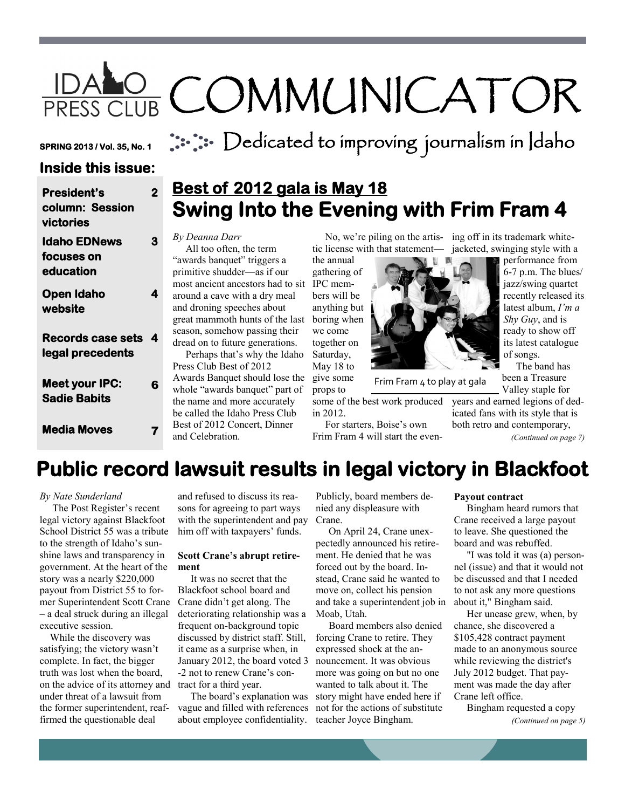# IDALO COMMUNICATOR

**SPRING 2013 / Vol. 35, No. 1** 

 $::::$  Dedicated to improving journalism in Idaho

### **Inside this issue:**

| <b>President's</b><br>column: Session<br>victories | $\overline{2}$ | Ľ<br>Į                 |
|----------------------------------------------------|----------------|------------------------|
| <b>Idaho EDNews</b><br>focuses on<br>education     | 3              | Б<br>$\epsilon$<br>p   |
| Open Idaho<br>website                              | 4              | n<br>a<br>a:<br>g      |
| <b>Records case sets</b><br>legal precedents       | 4              | $\mathbf{S}$<br>d<br>P |
| <b>Meet your IPC:</b><br><b>Sadie Babits</b>       | 6              | А<br>W<br>tl<br>b      |
| <b>Media Moves</b>                                 | 7              | Е<br>a                 |

### **Best of 2012 gala is May 18 Swing Into the Evening with Frim Fram 4**

### *By Deanna Darr*

 All too often, the term awards banquet" triggers a primitive shudder—as if our most ancient ancestors had to sit IPC memaround a cave with a dry meal and droning speeches about great mammoth hunts of the last boring when eason, somehow passing their dread on to future generations. Perhaps that's why the Idaho Press Club Best of 2012 Awards Banquet should lose the

whole "awards banquet" part of he name and more accurately be called the Idaho Press Club Best of 2012 Concert, Dinner and Celebration.

tic license with that statement—

the annual gathering of bers will be anything but we come together on Saturday, May 18 to give some

props to some of the best work produced in 2012.

 For starters, Boise's own Frim Fram 4 will start the even-

No, we're piling on the artis- ing off in its trademark whitejacketed, swinging style with a performance from

jazz/swing quartet

latest album, *I'm a* 

 The band has been a Treasure



Frim Fram 4 to play at gala

Valley staple for years and earned legions of dedicated fans with its style that is both retro and contemporary,

*(Continued on page 7)*

## **Public record lawsuit results in legal victory in Blackfoot**

### *By Nate Sunderland*

 The Post Register's recent legal victory against Blackfoot School District 55 was a tribute to the strength of Idaho's sunshine laws and transparency in government. At the heart of the story was a nearly \$220,000 payout from District 55 to former Superintendent Scott Crane – a deal struck during an illegal executive session.

 While the discovery was satisfying; the victory wasn't complete. In fact, the bigger truth was lost when the board, on the advice of its attorney and tract for a third year. under threat of a lawsuit from the former superintendent, reaffirmed the questionable deal

and refused to discuss its reasons for agreeing to part ways with the superintendent and pay him off with taxpayers' funds.

### **Scott Crane's abrupt retirement**

 It was no secret that the Blackfoot school board and Crane didn't get along. The deteriorating relationship was a frequent on-background topic discussed by district staff. Still, it came as a surprise when, in January 2012, the board voted 3 -2 not to renew Crane's con-

 The board's explanation was vague and filled with references about employee confidentiality.

Publicly, board members denied any displeasure with Crane.

 On April 24, Crane unexpectedly announced his retirement. He denied that he was forced out by the board. Instead, Crane said he wanted to move on, collect his pension and take a superintendent job in Moab, Utah.

 Board members also denied forcing Crane to retire. They expressed shock at the announcement. It was obvious more was going on but no one wanted to talk about it. The story might have ended here if not for the actions of substitute teacher Joyce Bingham.

### **Payout contract**

 Bingham heard rumors that Crane received a large payout to leave. She questioned the board and was rebuffed.

 "I was told it was (a) personnel (issue) and that it would not be discussed and that I needed to not ask any more questions about it," Bingham said.

 Her unease grew, when, by chance, she discovered a \$105,428 contract payment made to an anonymous source while reviewing the district's July 2012 budget. That payment was made the day after Crane left office.

 Bingham requested a copy *(Continued on page 5)*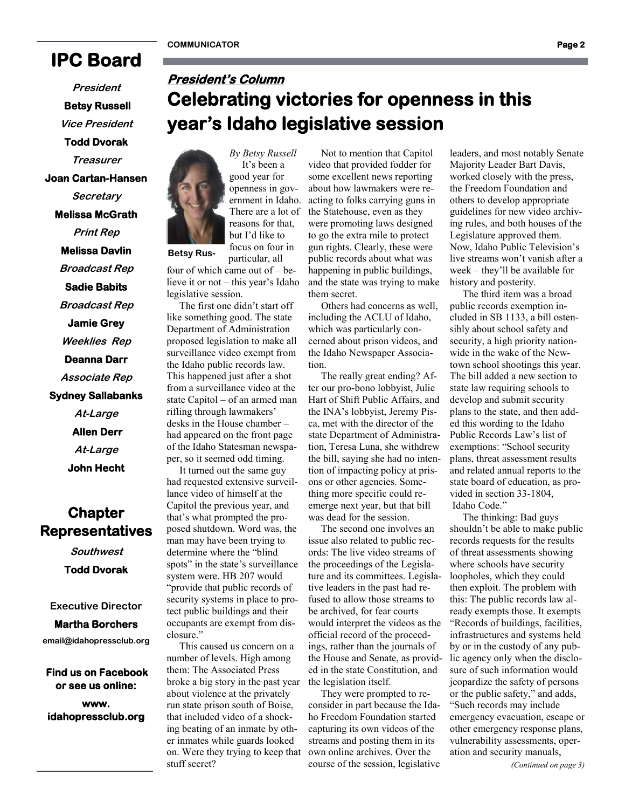**Betsy Rus-**

**President's Column** 

### **IPC Board**

**President Betsy Russell Vice President Todd Dvorak Treasurer Joan Cartan-Hansen Secretary Melissa McGrath Print Rep Melissa Davlin Broadcast Rep Sadie Babits Broadcast Rep Jamie Grey Weeklies Rep Deanna Darr Associate Rep** 

**Sydney Sallabanks At-Large Allen Derr At-Large John Hecht** 

### **Chapter Representatives**

**Southwest Todd Dvorak** 

**Executive Director**

### **Martha Borchers**

**email@idahopressclub.org**

 **Find us on Facebook or see us online: www. idahopressclub.org** 



*By Betsy Russell* It's been a good year for openness in government in Idaho.

**year's Idaho legislative session** 

like something good. The state Department of Administration proposed legislation to make all surveillance video exempt from the Idaho public records law. This happened just after a shot from a surveillance video at the state Capitol – of an armed man rifling through lawmakers' desks in the House chamber – had appeared on the front page of the Idaho Statesman newspaper, so it seemed odd timing.

 It turned out the same guy had requested extensive surveillance video of himself at the Capitol the previous year, and that's what prompted the proposed shutdown. Word was, the man may have been trying to determine where the "blind spots" in the state's surveillance system were. HB 207 would "provide that public records of security systems in place to protect public buildings and their occupants are exempt from disclosure."

 This caused us concern on a number of levels. High among them: The Associated Press broke a big story in the past year about violence at the privately run state prison south of Boise, that included video of a shocking beating of an inmate by other inmates while guards looked on. Were they trying to keep that stuff secret?

 Not to mention that Capitol video that provided fodder for some excellent news reporting about how lawmakers were reacting to folks carrying guns in the Statehouse, even as they were promoting laws designed to go the extra mile to protect gun rights. Clearly, these were public records about what was happening in public buildings, and the state was trying to make them secret.

**Celebrating victories for openness in this** 

 Others had concerns as well, including the ACLU of Idaho, which was particularly concerned about prison videos, and the Idaho Newspaper Association.

 The really great ending? After our pro-bono lobbyist, Julie Hart of Shift Public Affairs, and the INA's lobbyist, Jeremy Pisca, met with the director of the state Department of Administration, Teresa Luna, she withdrew the bill, saying she had no intention of impacting policy at prisons or other agencies. Something more specific could reemerge next year, but that bill was dead for the session.

 The second one involves an issue also related to public records: The live video streams of the proceedings of the Legislature and its committees. Legislative leaders in the past had refused to allow those streams to be archived, for fear courts would interpret the videos as the official record of the proceedings, rather than the journals of the House and Senate, as provided in the state Constitution, and the legislation itself.

 They were prompted to reconsider in part because the Idaho Freedom Foundation started capturing its own videos of the streams and posting them in its own online archives. Over the course of the session, legislative

leaders, and most notably Senate Majority Leader Bart Davis, worked closely with the press, the Freedom Foundation and others to develop appropriate guidelines for new video archiving rules, and both houses of the Legislature approved them. Now, Idaho Public Television's live streams won't vanish after a week – they'll be available for history and posterity.

 The third item was a broad public records exemption included in SB 1133, a bill ostensibly about school safety and security, a high priority nationwide in the wake of the Newtown school shootings this year. The bill added a new section to state law requiring schools to develop and submit security plans to the state, and then added this wording to the Idaho Public Records Law's list of exemptions: "School security plans, threat assessment results and related annual reports to the state board of education, as provided in section 33-1804, Idaho Code."

 The thinking: Bad guys shouldn't be able to make public records requests for the results of threat assessments showing where schools have security loopholes, which they could then exploit. The problem with this: The public records law already exempts those. It exempts "Records of buildings, facilities, infrastructures and systems held by or in the custody of any public agency only when the disclosure of such information would jeopardize the safety of persons or the public safety," and adds, "Such records may include emergency evacuation, escape or other emergency response plans, vulnerability assessments, operation and security manuals,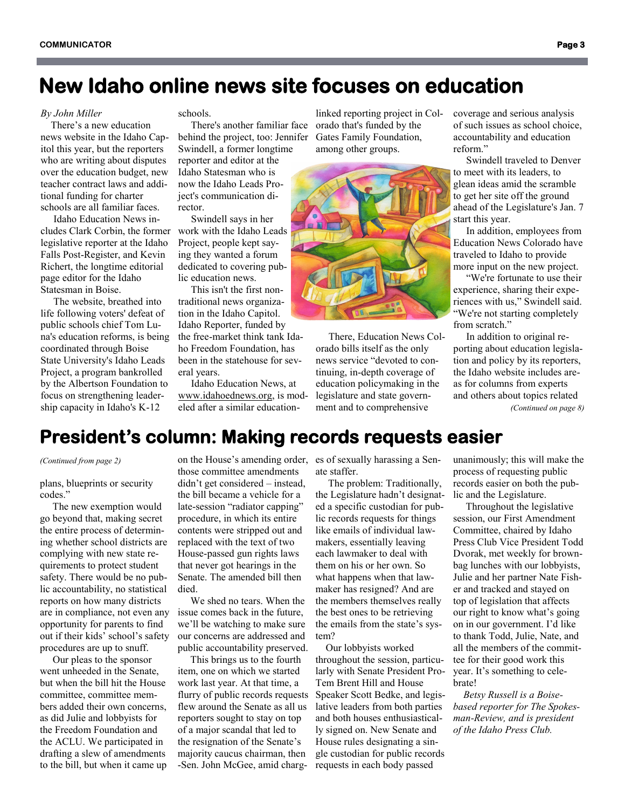### **New Idaho online news site focuses on education**

#### *By John Miller*

 There's a new education news website in the Idaho Capitol this year, but the reporters who are writing about disputes over the education budget, new teacher contract laws and additional funding for charter schools are all familiar faces.

 Idaho Education News includes Clark Corbin, the former work with the Idaho Leads legislative reporter at the Idaho Falls Post-Register, and Kevin Richert, the longtime editorial page editor for the Idaho Statesman in Boise.

 The website, breathed into life following voters' defeat of public schools chief Tom Luna's education reforms, is being coordinated through Boise State University's Idaho Leads Project, a program bankrolled by the Albertson Foundation to focus on strengthening leadership capacity in Idaho's K-12

schools.

 There's another familiar face behind the project, too: Jennifer Swindell, a former longtime reporter and editor at the Idaho Statesman who is now the Idaho Leads Project's communication director.

 Swindell says in her Project, people kept saying they wanted a forum dedicated to covering public education news.

 This isn't the first nontraditional news organization in the Idaho Capitol. Idaho Reporter, funded by the free-market think tank Idaho Freedom Foundation, has been in the statehouse for several years.

 Idaho Education News, at [www.idahoednews.org,](http://www.idahoednews.org) is modeled after a similar education-

linked reporting project in Colorado that's funded by the Gates Family Foundation, among other groups.



 There, Education News Colorado bills itself as the only news service "devoted to continuing, in-depth coverage of education policymaking in the legislature and state government and to comprehensive

coverage and serious analysis of such issues as school choice, accountability and education reform."

 Swindell traveled to Denver to meet with its leaders, to glean ideas amid the scramble to get her site off the ground ahead of the Legislature's Jan. 7 start this year.

 In addition, employees from Education News Colorado have traveled to Idaho to provide more input on the new project.

 "We're fortunate to use their experience, sharing their experiences with us," Swindell said. "We're not starting completely from scratch."

 In addition to original reporting about education legislation and policy by its reporters, the Idaho website includes areas for columns from experts and others about topics related *(Continued on page 8)*

### **President's column: Making records requests easier**

*(Continued from page 2)*

plans, blueprints or security codes."

 The new exemption would go beyond that, making secret the entire process of determining whether school districts are complying with new state requirements to protect student safety. There would be no public accountability, no statistical reports on how many districts are in compliance, not even any opportunity for parents to find out if their kids' school's safety procedures are up to snuff.

 Our pleas to the sponsor went unheeded in the Senate, but when the bill hit the House committee, committee members added their own concerns, as did Julie and lobbyists for the Freedom Foundation and the ACLU. We participated in drafting a slew of amendments to the bill, but when it came up

on the House's amending order, es of sexually harassing a Senthose committee amendments didn't get considered – instead, the bill became a vehicle for a late-session "radiator capping" procedure, in which its entire contents were stripped out and replaced with the text of two House-passed gun rights laws that never got hearings in the Senate. The amended bill then died.

 We shed no tears. When the issue comes back in the future, we'll be watching to make sure our concerns are addressed and public accountability preserved.

 This brings us to the fourth item, one on which we started work last year. At that time, a flurry of public records requests flew around the Senate as all us reporters sought to stay on top of a major scandal that led to the resignation of the Senate's majority caucus chairman, then -Sen. John McGee, amid charg-

ate staffer.

 The problem: Traditionally, the Legislature hadn't designated a specific custodian for public records requests for things like emails of individual lawmakers, essentially leaving each lawmaker to deal with them on his or her own. So what happens when that lawmaker has resigned? And are the members themselves really the best ones to be retrieving the emails from the state's system?

 Our lobbyists worked throughout the session, particularly with Senate President Pro-Tem Brent Hill and House Speaker Scott Bedke, and legislative leaders from both parties and both houses enthusiastically signed on. New Senate and House rules designating a single custodian for public records requests in each body passed

unanimously; this will make the process of requesting public records easier on both the public and the Legislature.

 Throughout the legislative session, our First Amendment Committee, chaired by Idaho Press Club Vice President Todd Dvorak, met weekly for brownbag lunches with our lobbyists, Julie and her partner Nate Fisher and tracked and stayed on top of legislation that affects our right to know what's going on in our government. I'd like to thank Todd, Julie, Nate, and all the members of the committee for their good work this year. It's something to celebrate!

 *Betsy Russell is a Boisebased reporter for The Spokesman-Review, and is president of the Idaho Press Club.*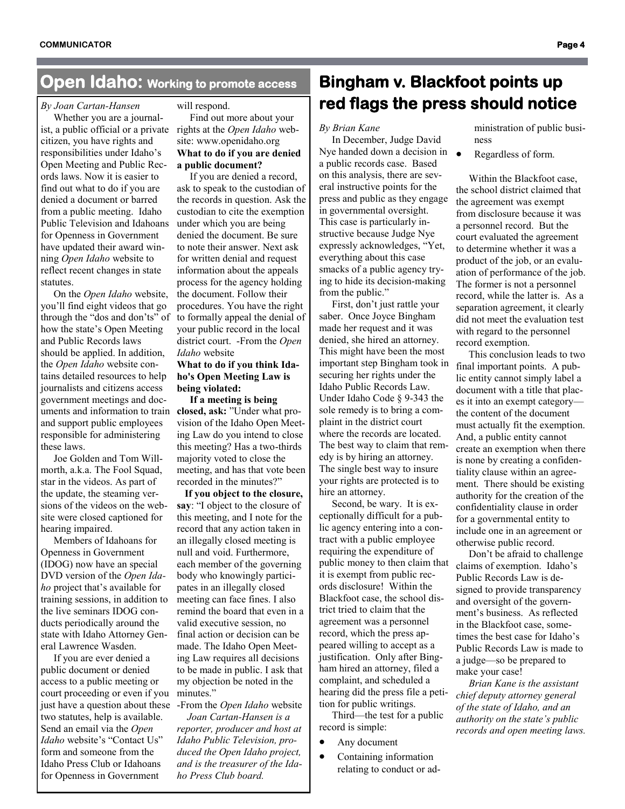### **Open Idaho: Working to promote access**

### *By Joan Cartan-Hansen*

 Whether you are a journalist, a public official or a private citizen, you have rights and responsibilities under Idaho's Open Meeting and Public Records laws. Now it is easier to find out what to do if you are denied a document or barred from a public meeting. Idaho Public Television and Idahoans for Openness in Government have updated their award winning *Open Idaho* website to reflect recent changes in state statutes.

 On the *Open Idaho* website, you'll find eight videos that go through the "dos and don'ts" of how the state's Open Meeting and Public Records laws should be applied. In addition, the *Open Idaho* website contains detailed resources to help journalists and citizens access government meetings and documents and information to train **closed, ask:** "Under what proand support public employees responsible for administering these laws.

 Joe Golden and Tom Willmorth, a.k.a. The Fool Squad, star in the videos. As part of the update, the steaming versions of the videos on the website were closed captioned for hearing impaired.

 Members of Idahoans for Openness in Government (IDOG) now have an special DVD version of the *Open Idaho* project that's available for training sessions, in addition to the live seminars IDOG conducts periodically around the state with Idaho Attorney General Lawrence Wasden.

 If you are ever denied a public document or denied access to a public meeting or court proceeding or even if you minutes." just have a question about these -From the *Open Idaho* website two statutes, help is available. Send an email via the *Open Idaho* website's "Contact Us" form and someone from the Idaho Press Club or Idahoans for Openness in Government

#### will respond.

 Find out more about your rights at the *Open Idaho* website: www.openidaho.org **What to do if you are denied a public document?**

 If you are denied a record, ask to speak to the custodian of the records in question. Ask the custodian to cite the exemption under which you are being denied the document. Be sure to note their answer. Next ask for written denial and request information about the appeals process for the agency holding the document. Follow their procedures. You have the right to formally appeal the denial of your public record in the local district court. -From the *Open Idaho* website

### **What to do if you think Idaho's Open Meeting Law is being violated:**

 **If a meeting is being**  vision of the Idaho Open Meeting Law do you intend to close this meeting? Has a two-thirds majority voted to close the meeting, and has that vote been recorded in the minutes?"

 **If you object to the closure, say**: "I object to the closure of this meeting, and I note for the record that any action taken in an illegally closed meeting is null and void. Furthermore, each member of the governing body who knowingly participates in an illegally closed meeting can face fines. I also remind the board that even in a valid executive session, no final action or decision can be made. The Idaho Open Meeting Law requires all decisions to be made in public. I ask that my objection be noted in the

 *Joan Cartan-Hansen is a reporter, producer and host at Idaho Public Television, produced the Open Idaho project, and is the treasurer of the Idaho Press Club board.*

### **Bingham v. Blackfoot points up red flags the press should notice**

### *By Brian Kane*

 In December, Judge David Nye handed down a decision in  $\bullet$ a public records case. Based on this analysis, there are several instructive points for the press and public as they engage in governmental oversight. This case is particularly instructive because Judge Nye expressly acknowledges, "Yet, everything about this case smacks of a public agency trying to hide its decision-making from the public."

 First, don't just rattle your saber. Once Joyce Bingham made her request and it was denied, she hired an attorney. This might have been the most important step Bingham took in securing her rights under the Idaho Public Records Law. Under Idaho Code § 9-343 the sole remedy is to bring a complaint in the district court where the records are located. The best way to claim that remedy is by hiring an attorney. The single best way to insure your rights are protected is to hire an attorney.

 Second, be wary. It is exceptionally difficult for a public agency entering into a contract with a public employee requiring the expenditure of public money to then claim that it is exempt from public records disclosure! Within the Blackfoot case, the school district tried to claim that the agreement was a personnel record, which the press appeared willing to accept as a justification. Only after Bingham hired an attorney, filed a complaint, and scheduled a hearing did the press file a petition for public writings.

 Third—the test for a public record is simple:

- Any document
- Containing information relating to conduct or ad-

ministration of public business

Regardless of form.

 Within the Blackfoot case, the school district claimed that the agreement was exempt from disclosure because it was a personnel record. But the court evaluated the agreement to determine whether it was a product of the job, or an evaluation of performance of the job. The former is not a personnel record, while the latter is. As a separation agreement, it clearly did not meet the evaluation test with regard to the personnel record exemption.

 This conclusion leads to two final important points. A public entity cannot simply label a document with a title that places it into an exempt category the content of the document must actually fit the exemption. And, a public entity cannot create an exemption when there is none by creating a confidentiality clause within an agreement. There should be existing authority for the creation of the confidentiality clause in order for a governmental entity to include one in an agreement or otherwise public record.

 Don't be afraid to challenge claims of exemption. Idaho's Public Records Law is designed to provide transparency and oversight of the government's business. As reflected in the Blackfoot case, sometimes the best case for Idaho's Public Records Law is made to a judge—so be prepared to make your case!

 *Brian Kane is the assistant chief deputy attorney general of the state of Idaho, and an authority on the state's public records and open meeting laws.*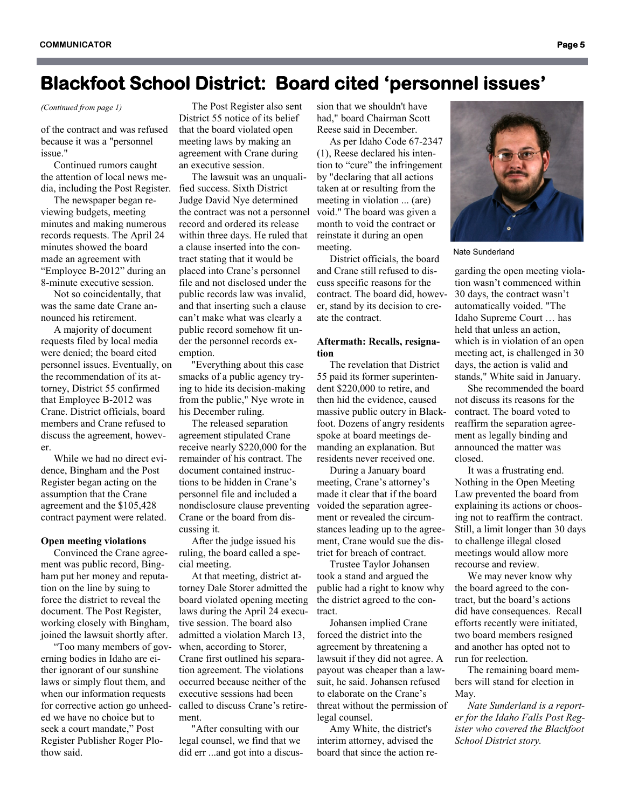### **Blackfoot School District: Board cited 'personnel issues'**

*(Continued from page 1)*

of the contract and was refused because it was a "personnel issue."

 Continued rumors caught the attention of local news media, including the Post Register.

 The newspaper began reviewing budgets, meeting minutes and making numerous records requests. The April 24 minutes showed the board made an agreement with "Employee B-2012" during an 8-minute executive session.

 Not so coincidentally, that was the same date Crane announced his retirement.

 A majority of document requests filed by local media were denied; the board cited personnel issues. Eventually, on the recommendation of its attorney, District 55 confirmed that Employee B-2012 was Crane. District officials, board members and Crane refused to discuss the agreement, however.

 While we had no direct evidence, Bingham and the Post Register began acting on the assumption that the Crane agreement and the \$105,428 contract payment were related.

#### **Open meeting violations**

 Convinced the Crane agreement was public record, Bingham put her money and reputation on the line by suing to force the district to reveal the document. The Post Register, working closely with Bingham, joined the lawsuit shortly after.

 "Too many members of governing bodies in Idaho are either ignorant of our sunshine laws or simply flout them, and when our information requests for corrective action go unheeded we have no choice but to seek a court mandate," Post Register Publisher Roger Plothow said.

 The Post Register also sent District 55 notice of its belief that the board violated open meeting laws by making an agreement with Crane during an executive session.

 The lawsuit was an unqualified success. Sixth District Judge David Nye determined the contract was not a personnel record and ordered its release within three days. He ruled that a clause inserted into the contract stating that it would be placed into Crane's personnel file and not disclosed under the public records law was invalid, and that inserting such a clause can't make what was clearly a public record somehow fit under the personnel records exemption.

 "Everything about this case smacks of a public agency trying to hide its decision-making from the public," Nye wrote in his December ruling.

 The released separation agreement stipulated Crane receive nearly \$220,000 for the remainder of his contract. The document contained instructions to be hidden in Crane's personnel file and included a nondisclosure clause preventing Crane or the board from discussing it.

 After the judge issued his ruling, the board called a special meeting.

 At that meeting, district attorney Dale Storer admitted the board violated opening meeting laws during the April 24 executive session. The board also admitted a violation March 13, when, according to Storer, Crane first outlined his separation agreement. The violations occurred because neither of the executive sessions had been called to discuss Crane's retirement.

 "After consulting with our legal counsel, we find that we did err ...and got into a discussion that we shouldn't have had," board Chairman Scott Reese said in December.

 As per Idaho Code 67-2347 (1), Reese declared his intention to "cure" the infringement by "declaring that all actions taken at or resulting from the meeting in violation ... (are) void." The board was given a month to void the contract or reinstate it during an open meeting.

 District officials, the board and Crane still refused to discuss specific reasons for the contract. The board did, however, stand by its decision to create the contract.

### **Aftermath: Recalls, resignation**

 The revelation that District 55 paid its former superintendent \$220,000 to retire, and then hid the evidence, caused massive public outcry in Blackfoot. Dozens of angry residents spoke at board meetings demanding an explanation. But residents never received one.

 During a January board meeting, Crane's attorney's made it clear that if the board voided the separation agreement or revealed the circumstances leading up to the agreement, Crane would sue the district for breach of contract.

 Trustee Taylor Johansen took a stand and argued the public had a right to know why the district agreed to the contract.

 Johansen implied Crane forced the district into the agreement by threatening a lawsuit if they did not agree. A payout was cheaper than a lawsuit, he said. Johansen refused to elaborate on the Crane's threat without the permission of legal counsel.

 Amy White, the district's interim attorney, advised the board that since the action reNate Sunderland

garding the open meeting violation wasn't commenced within 30 days, the contract wasn't automatically voided. "The Idaho Supreme Court … has held that unless an action, which is in violation of an open meeting act, is challenged in 30 days, the action is valid and stands," White said in January.

 She recommended the board not discuss its reasons for the contract. The board voted to reaffirm the separation agreement as legally binding and announced the matter was closed.

 It was a frustrating end. Nothing in the Open Meeting Law prevented the board from explaining its actions or choosing not to reaffirm the contract. Still, a limit longer than 30 days to challenge illegal closed meetings would allow more recourse and review.

 We may never know why the board agreed to the contract, but the board's actions did have consequences. Recall efforts recently were initiated, two board members resigned and another has opted not to run for reelection.

 The remaining board members will stand for election in May.

 *Nate Sunderland is a reporter for the Idaho Falls Post Register who covered the Blackfoot School District story.*

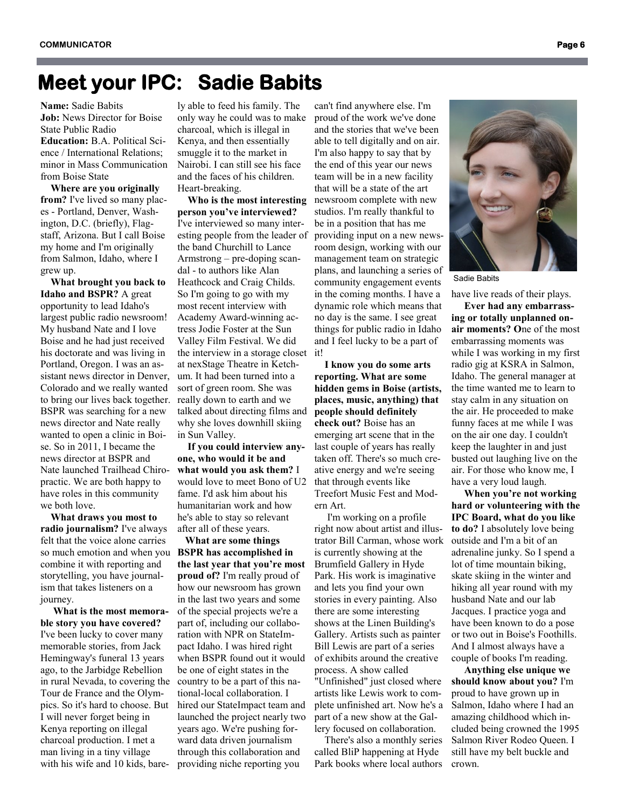### **Meet your IPC: Sadie Babits**

**Name:** Sadie Babits **Job:** News Director for Boise State Public Radio

**Education:** B.A. Political Science / International Relations; minor in Mass Communication from Boise State

 **Where are you originally from?** I've lived so many places - Portland, Denver, Washington, D.C. (briefly), Flagstaff, Arizona. But I call Boise my home and I'm originally from Salmon, Idaho, where I grew up.

 **What brought you back to Idaho and BSPR?** A great opportunity to lead Idaho's largest public radio newsroom! My husband Nate and I love Boise and he had just received his doctorate and was living in Portland, Oregon. I was an assistant news director in Denver, Colorado and we really wanted to bring our lives back together. BSPR was searching for a new news director and Nate really wanted to open a clinic in Boise. So in 2011, I became the news director at BSPR and Nate launched Trailhead Chiropractic. We are both happy to have roles in this community we both love.

 **What draws you most to radio journalism?** I've always felt that the voice alone carries so much emotion and when you **BSPR has accomplished in**  combine it with reporting and storytelling, you have journalism that takes listeners on a journey.

 **What is the most memorable story you have covered?**  I've been lucky to cover many memorable stories, from Jack Hemingway's funeral 13 years ago, to the Jarbidge Rebellion in rural Nevada, to covering the Tour de France and the Olympics. So it's hard to choose. But I will never forget being in Kenya reporting on illegal charcoal production. I met a man living in a tiny village with his wife and 10 kids, bare-

ly able to feed his family. The only way he could was to make charcoal, which is illegal in Kenya, and then essentially smuggle it to the market in Nairobi. I can still see his face and the faces of his children. Heart-breaking.

 **Who is the most interesting person you've interviewed?**  I've interviewed so many interesting people from the leader of the band Churchill to Lance Armstrong – pre-doping scandal - to authors like Alan Heathcock and Craig Childs. So I'm going to go with my most recent interview with Academy Award-winning actress Jodie Foster at the Sun Valley Film Festival. We did the interview in a storage closet at nexStage Theatre in Ketchum. It had been turned into a sort of green room. She was really down to earth and we talked about directing films and why she loves downhill skiing in Sun Valley.

 **If you could interview anyone, who would it be and what would you ask them?** I would love to meet Bono of U2 fame. I'd ask him about his humanitarian work and how he's able to stay so relevant after all of these years.

 **What are some things the last year that you're most proud of?** I'm really proud of how our newsroom has grown in the last two years and some of the special projects we're a part of, including our collaboration with NPR on StateImpact Idaho. I was hired right when BSPR found out it would be one of eight states in the country to be a part of this national-local collaboration. I hired our StateImpact team and launched the project nearly two years ago. We're pushing forward data driven journalism through this collaboration and providing niche reporting you

can't find anywhere else. I'm proud of the work we've done and the stories that we've been able to tell digitally and on air. I'm also happy to say that by the end of this year our news team will be in a new facility that will be a state of the art newsroom complete with new studios. I'm really thankful to be in a position that has me providing input on a new newsroom design, working with our management team on strategic plans, and launching a series of community engagement events in the coming months. I have a dynamic role which means that no day is the same. I see great things for public radio in Idaho and I feel lucky to be a part of it!

 **I know you do some arts reporting. What are some hidden gems in Boise (artists, places, music, anything) that people should definitely check out?** Boise has an emerging art scene that in the last couple of years has really taken off. There's so much creative energy and we're seeing that through events like Treefort Music Fest and Modern Art.

 I'm working on a profile right now about artist and illustrator Bill Carman, whose work is currently showing at the Brumfield Gallery in Hyde Park. His work is imaginative and lets you find your own stories in every painting. Also there are some interesting shows at the Linen Building's Gallery. Artists such as painter Bill Lewis are part of a series of exhibits around the creative process. A show called "Unfinished" just closed where artists like Lewis work to com-

plete unfinished art. Now he's a part of a new show at the Gallery focused on collaboration.

 There's also a monthly series called BliP happening at Hyde Park books where local authors



Sadie Babits

have live reads of their plays.

 **Ever had any embarrassing or totally unplanned onair moments? O**ne of the most embarrassing moments was while I was working in my first radio gig at KSRA in Salmon, Idaho. The general manager at the time wanted me to learn to stay calm in any situation on the air. He proceeded to make funny faces at me while I was on the air one day. I couldn't keep the laughter in and just busted out laughing live on the air. For those who know me, I have a very loud laugh.

 **When you're not working hard or volunteering with the IPC Board, what do you like to do?** I absolutely love being outside and I'm a bit of an adrenaline junky. So I spend a lot of time mountain biking, skate skiing in the winter and hiking all year round with my husband Nate and our lab Jacques. I practice yoga and have been known to do a pose or two out in Boise's Foothills. And I almost always have a couple of books I'm reading.

 **Anything else unique we should know about you?** I'm proud to have grown up in Salmon, Idaho where I had an amazing childhood which included being crowned the 1995 Salmon River Rodeo Queen. I still have my belt buckle and crown.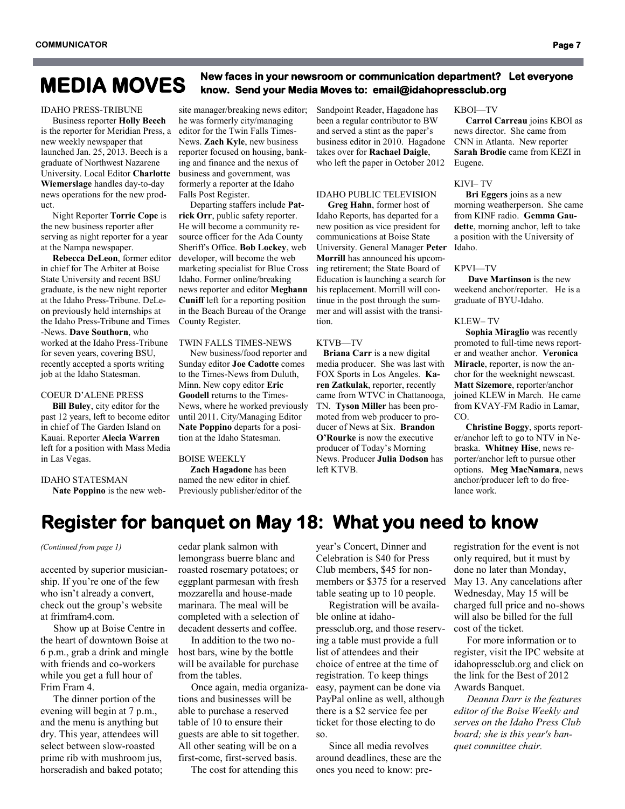## **New faces in your newsroom or communication department? Let everyone MEDIA MOVES know. Send your Media Moves to: email@idahopressclub.org**

#### IDAHO PRESS-TRIBUNE

 Business reporter **Holly Beech** is the reporter for Meridian Press, a new weekly newspaper that launched Jan. 25, 2013. Beech is a graduate of Northwest Nazarene University. Local Editor **Charlotte Wiemerslage** handles day-to-day news operations for the new product.

 Night Reporter **Torrie Cope** is the new business reporter after serving as night reporter for a year at the Nampa newspaper.

 **Rebecca DeLeon**, former editor in chief for The Arbiter at Boise State University and recent BSU graduate, is the new night reporter at the Idaho Press-Tribune. DeLeon previously held internships at the Idaho Press-Tribune and Times -News. **Dave Southorn**, who worked at the Idaho Press-Tribune for seven years, covering BSU, recently accepted a sports writing job at the Idaho Statesman.

#### COEUR D'ALENE PRESS

 **Bill Buley**, city editor for the past 12 years, left to become editor in chief of The Garden Island on Kauai. Reporter **Alecia Warren** left for a position with Mass Media in Las Vegas.

IDAHO STATESMAN

 **Nate Poppino** is the new web-

site manager/breaking news editor; he was formerly city/managing editor for the Twin Falls Times-News. **Zach Kyle**, new business reporter focused on housing, banking and finance and the nexus of business and government, was formerly a reporter at the Idaho Falls Post Register.

 Departing staffers include **Patrick Orr**, public safety reporter. He will become a community resource officer for the Ada County Sheriff's Office. **Bob Lockey**, web developer, will become the web marketing specialist for Blue Cross Idaho. Former online/breaking news reporter and editor **Meghann Cuniff** left for a reporting position in the Beach Bureau of the Orange County Register.

### TWIN FALLS TIMES-NEWS

 New business/food reporter and Sunday editor **Joe Cadotte** comes to the Times-News from Duluth, Minn. New copy editor **Eric Goodell** returns to the Times-News, where he worked previously until 2011. City/Managing Editor **Nate Poppino** departs for a position at the Idaho Statesman.

#### BOISE WEEKLY

 **Zach Hagadone** has been named the new editor in chief. Previously publisher/editor of the Sandpoint Reader, Hagadone has been a regular contributor to BW and served a stint as the paper's business editor in 2010. Hagadone takes over for **Rachael Daigle**, who left the paper in October 2012

#### IDAHO PUBLIC TELEVISION

 **Greg Hahn**, former host of Idaho Reports, has departed for a new position as vice president for communications at Boise State University. General Manager **Peter Morrill** has announced his upcoming retirement; the State Board of Education is launching a search for his replacement. Morrill will continue in the post through the summer and will assist with the transition.

#### KTVB—TV

 **Briana Carr** is a new digital media producer. She was last with FOX Sports in Los Angeles. **Karen Zatkulak**, reporter, recently came from WTVC in Chattanooga, TN. **Tyson Miller** has been promoted from web producer to producer of News at Six. **Brandon O'Rourke** is now the executive producer of Today's Morning News. Producer **Julia Dodson** has left KTVB.

KBOI—TV

 **Carrol Carreau** joins KBOI as news director. She came from CNN in Atlanta. New reporter **Sarah Brodie** came from KEZI in Eugene.

#### KIVI– TV

 **Bri Eggers** joins as a new morning weatherperson. She came from KINF radio. **Gemma Gaudette**, morning anchor, left to take a position with the University of Idaho.

#### KPVI—TV

 **Dave Martinson** is the new weekend anchor/reporter. He is a graduate of BYU-Idaho.

#### KLEW– TV

 **Sophia Miraglio** was recently promoted to full-time news reporter and weather anchor. **Veronica Miracle**, reporter, is now the anchor for the weeknight newscast. **Matt Sizemore**, reporter/anchor joined KLEW in March. He came from KVAY-FM Radio in Lamar, CO.

 **Christine Boggy**, sports reporter/anchor left to go to NTV in Nebraska. **Whitney Hise**, news reporter/anchor left to pursue other options. **Meg MacNamara**, news anchor/producer left to do freelance work.

### **Register for banquet on May 18: What you need to know**

#### *(Continued from page 1)*

accented by superior musicianship. If you're one of the few who isn't already a convert, check out the group's website at frimfram4.com.

 Show up at Boise Centre in the heart of downtown Boise at 6 p.m., grab a drink and mingle with friends and co-workers while you get a full hour of Frim Fram 4.

 The dinner portion of the evening will begin at 7 p.m., and the menu is anything but dry. This year, attendees will select between slow-roasted prime rib with mushroom jus, horseradish and baked potato;

cedar plank salmon with lemongrass buerre blanc and roasted rosemary potatoes; or eggplant parmesan with fresh mozzarella and house-made marinara. The meal will be completed with a selection of decadent desserts and coffee.

 In addition to the two nohost bars, wine by the bottle will be available for purchase from the tables.

 Once again, media organizations and businesses will be able to purchase a reserved table of 10 to ensure their guests are able to sit together. All other seating will be on a first-come, first-served basis.

The cost for attending this

year's Concert, Dinner and Celebration is \$40 for Press Club members, \$45 for nonmembers or \$375 for a reserved table seating up to 10 people.

 Registration will be available online at idahopressclub.org, and those reserving a table must provide a full list of attendees and their choice of entree at the time of registration. To keep things easy, payment can be done via PayPal online as well, although there is a \$2 service fee per ticket for those electing to do so.

 Since all media revolves around deadlines, these are the ones you need to know: pre-

registration for the event is not only required, but it must by done no later than Monday, May 13. Any cancelations after Wednesday, May 15 will be charged full price and no-shows will also be billed for the full cost of the ticket.

 For more information or to register, visit the IPC website at idahopressclub.org and click on the link for the Best of 2012 Awards Banquet.

 *Deanna Darr is the features editor of the Boise Weekly and serves on the Idaho Press Club board; she is this year's banquet committee chair.*